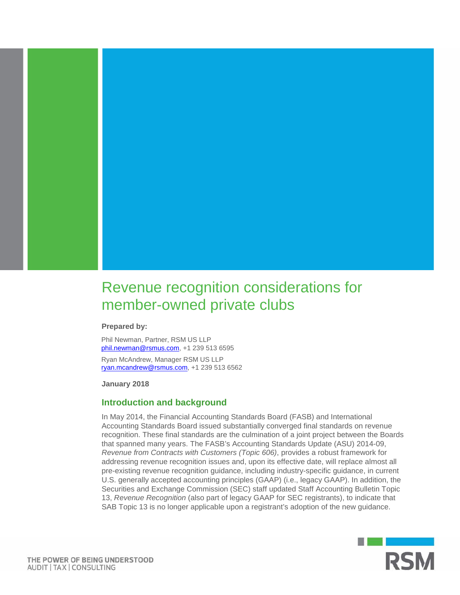

**Prepared by:**

Phil Newman, Partner, RSM US LLP [phil.newman@rsmus.com,](mailto:phil.newman@rsmus.com) +1 239 513 6595 Ryan McAndrew, Manager RSM US LLP [ryan.mcandrew@rsmus.com,](mailto:ryan.mcandrew@rsmus.com) +1 239 513 6562

**January 2018**

### **Introduction and background**

In May 2014, the Financial Accounting Standards Board (FASB) and International Accounting Standards Board issued substantially converged final standards on revenue recognition. These final standards are the culmination of a joint project between the Boards that spanned many years. The FASB's Accounting Standards Update (ASU) 2014-09, *Revenue from Contracts with Customers (Topic 606)*, provides a robust framework for addressing revenue recognition issues and, upon its effective date, will replace almost all pre-existing revenue recognition guidance, including industry-specific guidance, in current U.S. generally accepted accounting principles (GAAP) (i.e., legacy GAAP). In addition, the Securities and Exchange Commission (SEC) staff updated Staff Accounting Bulletin Topic 13, *Revenue Recognition* (also part of legacy GAAP for SEC registrants), to indicate that SAB Topic 13 is no longer applicable upon a registrant's adoption of the new guidance.



THE POWER OF BEING UNDERSTOOD AUDIT | TAX | CONSULTING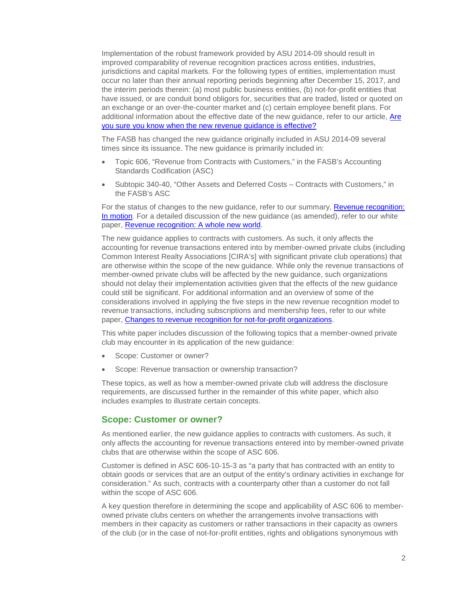Implementation of the robust framework provided by ASU 2014-09 should result in improved comparability of revenue recognition practices across entities, industries, jurisdictions and capital markets. For the following types of entities, implementation must occur no later than their annual reporting periods beginning after December 15, 2017, and the interim periods therein: (a) most public business entities, (b) not-for-profit entities that have issued, or are conduit bond obligors for, securities that are traded, listed or quoted on an exchange or an over-the-counter market and (c) certain employee benefit plans. For additional information about the effective date of the new guidance, refer to our article, [Are](http://rsmus.com/our-insights/newsletters/financial-reporting-insights/are-you-sure-you-know-when-the-revenue-guidance-in-asc-606-is-ef.html)  [you sure you know when the new revenue](http://rsmus.com/our-insights/newsletters/financial-reporting-insights/are-you-sure-you-know-when-the-revenue-guidance-in-asc-606-is-ef.html) [guidance is effective?](http://rsmus.com/our-insights/newsletters/financial-reporting-insights/are-you-sure-you-know-when-the-revenue-guidance-in-asc-606-is-ef.html)

The FASB has changed the new guidance originally included in ASU 2014-09 several times since its issuance. The new guidance is primarily included in:

- Topic 606, "Revenue from Contracts with Customers," in the FASB's Accounting Standards Codification (ASC)
- Subtopic 340-40, "Other Assets and Deferred Costs Contracts with Customers," in the FASB's ASC

For the status of changes to the new guidance, refer to our summary, Revenue recognition: [In motion.](http://rsmus.com/what-we-do/services/assurance/revenue-recognition-in-motion.html) For a detailed discussion of the new guidance (as amended), refer to our white paper, [Revenue recognition: A whole new world.](http://rsmus.com/what-we-do/services/assurance/revenue-recognition-a-whole-new-world.html)

The new guidance applies to contracts with customers. As such, it only affects the accounting for revenue transactions entered into by member-owned private clubs (including Common Interest Realty Associations [CIRA's] with significant private club operations) that are otherwise within the scope of the new guidance. While only the revenue transactions of member-owned private clubs will be affected by the new guidance, such organizations should not delay their implementation activities given that the effects of the new guidance could still be significant. For additional information and an overview of some of the considerations involved in applying the five steps in the new revenue recognition model to revenue transactions, including subscriptions and membership fees, refer to our white paper, [Changes to revenue recognition for not-for-profit organizations.](http://rsmus.com/what-we-do/services/assurance/financial-reporting-resource-center/financial-reporting-resource-center-revenue-recognition/changes-to-revenue-recognition-for-not-for-profit-organizations.html)

This white paper includes discussion of the following topics that a member-owned private club may encounter in its application of the new guidance:

- Scope: Customer or owner?
- Scope: Revenue transaction or ownership transaction?

These topics, as well as how a member-owned private club will address the disclosure requirements, are discussed further in the remainder of this white paper, which also includes examples to illustrate certain concepts.

### **Scope: Customer or owner?**

As mentioned earlier, the new guidance applies to contracts with customers. As such, it only affects the accounting for revenue transactions entered into by member-owned private clubs that are otherwise within the scope of ASC 606.

Customer is defined in ASC 606-10-15-3 as "a party that has contracted with an entity to obtain goods or services that are an output of the entity's ordinary activities in exchange for consideration." As such, contracts with a counterparty other than a customer do not fall within the scope of ASC 606.

A key question therefore in determining the scope and applicability of ASC 606 to memberowned private clubs centers on whether the arrangements involve transactions with members in their capacity as customers or rather transactions in their capacity as owners of the club (or in the case of not-for-profit entities, rights and obligations synonymous with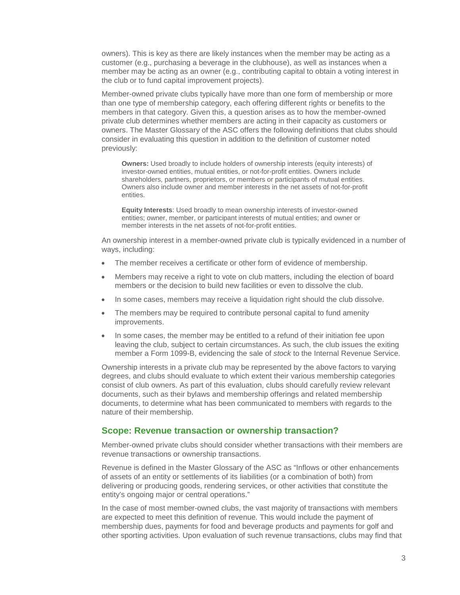owners). This is key as there are likely instances when the member may be acting as a customer (e.g., purchasing a beverage in the clubhouse), as well as instances when a member may be acting as an owner (e.g., contributing capital to obtain a voting interest in the club or to fund capital improvement projects).

Member-owned private clubs typically have more than one form of membership or more than one type of membership category, each offering different rights or benefits to the members in that category. Given this, a question arises as to how the member-owned private club determines whether members are acting in their capacity as customers or owners. The Master Glossary of the ASC offers the following definitions that clubs should consider in evaluating this question in addition to the definition of customer noted previously:

**Owners:** Used broadly to include holders of ownership interests (equity interests) of investor-owned entities, mutual entities, or not-for-profit entities. Owners include shareholders, partners, proprietors, or members or participants of mutual entities. Owners also include owner and member interests in the net assets of not-for-profit entities.

**Equity Interests**: Used broadly to mean ownership interests of investor-owned entities; owner, member, or participant interests of mutual entities; and owner or member interests in the net assets of not-for-profit entities.

An ownership interest in a member-owned private club is typically evidenced in a number of ways, including:

- The member receives a certificate or other form of evidence of membership.
- Members may receive a right to vote on club matters, including the election of board members or the decision to build new facilities or even to dissolve the club.
- In some cases, members may receive a liquidation right should the club dissolve.
- The members may be required to contribute personal capital to fund amenity improvements.
- In some cases, the member may be entitled to a refund of their initiation fee upon leaving the club, subject to certain circumstances. As such, the club issues the exiting member a Form 1099-B, evidencing the sale of *stock* to the Internal Revenue Service.

Ownership interests in a private club may be represented by the above factors to varying degrees, and clubs should evaluate to which extent their various membership categories consist of club owners. As part of this evaluation, clubs should carefully review relevant documents, such as their bylaws and membership offerings and related membership documents, to determine what has been communicated to members with regards to the nature of their membership.

# **Scope: Revenue transaction or ownership transaction?**

Member-owned private clubs should consider whether transactions with their members are revenue transactions or ownership transactions.

Revenue is defined in the Master Glossary of the ASC as "Inflows or other enhancements of assets of an entity or settlements of its liabilities (or a combination of both) from delivering or producing goods, rendering services, or other activities that constitute the entity's ongoing major or central operations."

In the case of most member-owned clubs, the vast majority of transactions with members are expected to meet this definition of revenue. This would include the payment of membership dues, payments for food and beverage products and payments for golf and other sporting activities. Upon evaluation of such revenue transactions, clubs may find that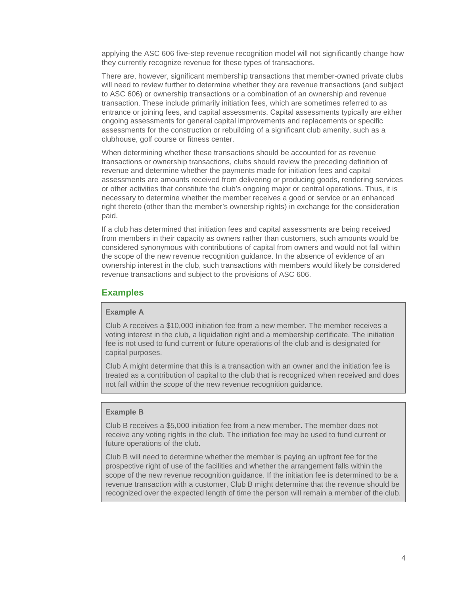applying the ASC 606 five-step revenue recognition model will not significantly change how they currently recognize revenue for these types of transactions.

There are, however, significant membership transactions that member-owned private clubs will need to review further to determine whether they are revenue transactions (and subject to ASC 606) or ownership transactions or a combination of an ownership and revenue transaction. These include primarily initiation fees, which are sometimes referred to as entrance or joining fees, and capital assessments. Capital assessments typically are either ongoing assessments for general capital improvements and replacements or specific assessments for the construction or rebuilding of a significant club amenity, such as a clubhouse, golf course or fitness center.

When determining whether these transactions should be accounted for as revenue transactions or ownership transactions, clubs should review the preceding definition of revenue and determine whether the payments made for initiation fees and capital assessments are amounts received from delivering or producing goods, rendering services or other activities that constitute the club's ongoing major or central operations. Thus, it is necessary to determine whether the member receives a good or service or an enhanced right thereto (other than the member's ownership rights) in exchange for the consideration paid.

If a club has determined that initiation fees and capital assessments are being received from members in their capacity as owners rather than customers, such amounts would be considered synonymous with contributions of capital from owners and would not fall within the scope of the new revenue recognition guidance. In the absence of evidence of an ownership interest in the club, such transactions with members would likely be considered revenue transactions and subject to the provisions of ASC 606.

### **Examples**

#### **Example A**

Club A receives a \$10,000 initiation fee from a new member. The member receives a voting interest in the club, a liquidation right and a membership certificate. The initiation fee is not used to fund current or future operations of the club and is designated for capital purposes.

Club A might determine that this is a transaction with an owner and the initiation fee is treated as a contribution of capital to the club that is recognized when received and does not fall within the scope of the new revenue recognition guidance.

#### **Example B**

Club B receives a \$5,000 initiation fee from a new member. The member does not receive any voting rights in the club. The initiation fee may be used to fund current or future operations of the club.

Club B will need to determine whether the member is paying an upfront fee for the prospective right of use of the facilities and whether the arrangement falls within the scope of the new revenue recognition guidance. If the initiation fee is determined to be a revenue transaction with a customer, Club B might determine that the revenue should be recognized over the expected length of time the person will remain a member of the club.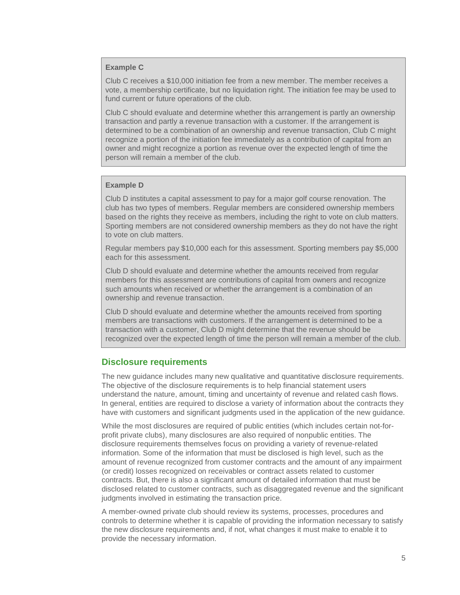#### **Example C**

Club C receives a \$10,000 initiation fee from a new member. The member receives a vote, a membership certificate, but no liquidation right. The initiation fee may be used to fund current or future operations of the club.

Club C should evaluate and determine whether this arrangement is partly an ownership transaction and partly a revenue transaction with a customer. If the arrangement is determined to be a combination of an ownership and revenue transaction, Club C might recognize a portion of the initiation fee immediately as a contribution of capital from an owner and might recognize a portion as revenue over the expected length of time the person will remain a member of the club.

#### **Example D**

Club D institutes a capital assessment to pay for a major golf course renovation. The club has two types of members. Regular members are considered ownership members based on the rights they receive as members, including the right to vote on club matters. Sporting members are not considered ownership members as they do not have the right to vote on club matters.

Regular members pay \$10,000 each for this assessment. Sporting members pay \$5,000 each for this assessment.

Club D should evaluate and determine whether the amounts received from regular members for this assessment are contributions of capital from owners and recognize such amounts when received or whether the arrangement is a combination of an ownership and revenue transaction.

Club D should evaluate and determine whether the amounts received from sporting members are transactions with customers. If the arrangement is determined to be a transaction with a customer, Club D might determine that the revenue should be recognized over the expected length of time the person will remain a member of the club.

# **Disclosure requirements**

The new guidance includes many new qualitative and quantitative disclosure requirements. The objective of the disclosure requirements is to help financial statement users understand the nature, amount, timing and uncertainty of revenue and related cash flows. In general, entities are required to disclose a variety of information about the contracts they have with customers and significant judgments used in the application of the new guidance.

While the most disclosures are required of public entities (which includes certain not-forprofit private clubs), many disclosures are also required of nonpublic entities. The disclosure requirements themselves focus on providing a variety of revenue-related information. Some of the information that must be disclosed is high level, such as the amount of revenue recognized from customer contracts and the amount of any impairment (or credit) losses recognized on receivables or contract assets related to customer contracts. But, there is also a significant amount of detailed information that must be disclosed related to customer contracts, such as disaggregated revenue and the significant judgments involved in estimating the transaction price.

A member-owned private club should review its systems, processes, procedures and controls to determine whether it is capable of providing the information necessary to satisfy the new disclosure requirements and, if not, what changes it must make to enable it to provide the necessary information.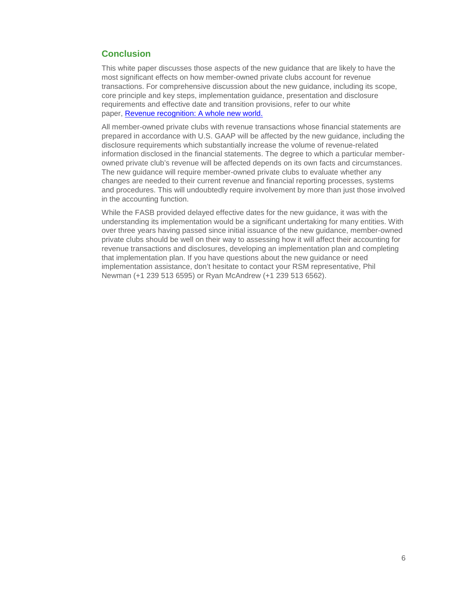# **Conclusion**

This white paper discusses those aspects of the new guidance that are likely to have the most significant effects on how member-owned private clubs account for revenue transactions. For comprehensive discussion about the new guidance, including its scope, core principle and key steps, implementation guidance, presentation and disclosure requirements and effective date and transition provisions, refer to our white paper, [Revenue recognition: A whole new world.](http://rsmus.com/what-we-do/services/assurance/revenue-recognition-a-whole-new-world.html)

All member-owned private clubs with revenue transactions whose financial statements are prepared in accordance with U.S. GAAP will be affected by the new guidance, including the disclosure requirements which substantially increase the volume of revenue-related information disclosed in the financial statements. The degree to which a particular memberowned private club's revenue will be affected depends on its own facts and circumstances. The new guidance will require member-owned private clubs to evaluate whether any changes are needed to their current revenue and financial reporting processes, systems and procedures. This will undoubtedly require involvement by more than just those involved in the accounting function.

While the FASB provided delayed effective dates for the new guidance, it was with the understanding its implementation would be a significant undertaking for many entities. With over three years having passed since initial issuance of the new guidance, member-owned private clubs should be well on their way to assessing how it will affect their accounting for revenue transactions and disclosures, developing an implementation plan and completing that implementation plan. If you have questions about the new guidance or need implementation assistance, don't hesitate to contact your RSM representative, Phil Newman (+1 239 513 6595) or Ryan McAndrew (+1 239 513 6562).